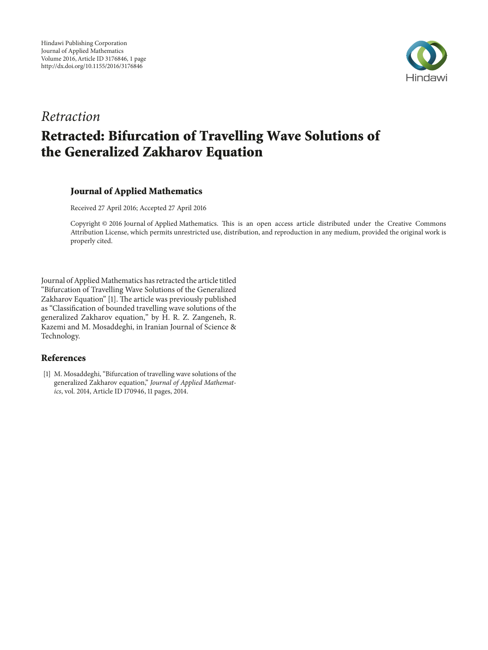

## *Retraction* **Retracted: Bifurcation of Travelling Wave Solutions of the Generalized Zakharov Equation**

### **Journal of Applied Mathematics**

Received 27 April 2016; Accepted 27 April 2016

Copyright © 2016 Journal of Applied Mathematics. Tis is an open access article distributed under the Creative Commons Attribution License, which permits unrestricted use, distribution, and reproduction in any medium, provided the original work is properly cited.

Journal of Applied Mathematics has retracted the article titled "Bifurcation of Travelling Wave Solutions of the Generalized Zakharov Equation" [1]. The article was previously published as "Classifcation of bounded travelling wave solutions of the generalized Zakharov equation," by H. R. Z. Zangeneh, R. Kazemi and M. Mosaddeghi, in Iranian Journal of Science & Technology.

#### **References**

[1] M. Mosaddeghi, "Bifurcation of travelling wave solutions of the generalized Zakharov equation," *Journal of Applied Mathematics*, vol. 2014, Article ID 170946, 11 pages, 2014.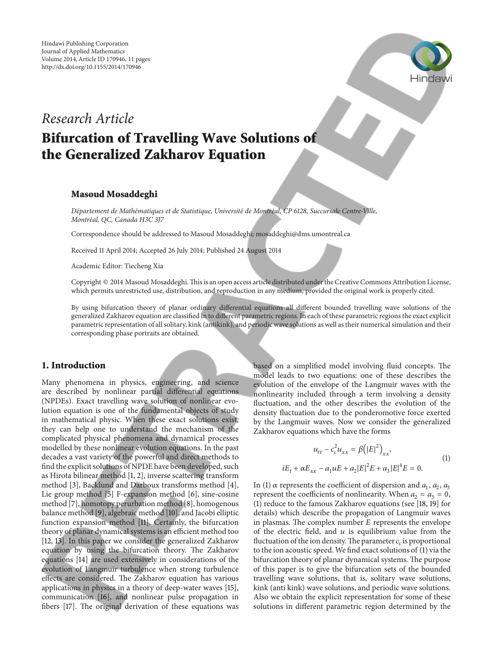

## *Research Article* **Bifurcation of Travelling Wave Solutions of**

# **the Generalized Zakharov Equation**

#### **Masoud Mosaddeghi**

*Departement de Math ´ ematiques et de Statistique, Universit ´ e de Montr ´ eal, CP 6128, Succursale Centre-Ville, ´ Montreal, QC, Canada H3C 3J7 ´*

Correspondence should be addressed to Masoud Mosaddeghi; mosaddeghi@dms.umontreal.ca

Received 11 April 2014; Accepted 26 July 2014; Published 24 August 2014

Academic Editor: Tiecheng Xia

Copyright © 2014 Masoud Mosaddeghi. This is an open access article distributed under the Creative Commons Attribution License, which permits unrestricted use, distribution, and reproduction in any medium, provided the original work is properly cited.

By using bifurcation theory of planar ordinary diferential equations all diferent bounded travelling wave solutions of the generalized Zakharov equation are classifed in to diferent parametric regions. In each of these parametric regions the exact explicit parametric representation of all solitary, kink (antikink), and periodic wave solutions as well as their numerical simulation and their corresponding phase portraits are obtained.

#### **1. Introduction**

Many phenomena in physics, engineering, and science are described by nonlinear partial diferential equations (NPDEs). Exact travelling wave solution of nonlinear evolution equation is one of the fundamental objects of study in mathematical physic. When these exact solutions exist, they can help one to understand the mechanism of the complicated physical phenomena and dynamical processes modelled by these nonlinear evolution equations. In the past decades a vast variety of the powerful and direct methods to fnd the explicit solutions of NPDE have been developed, such as Hirota bilinear method [1, 2], inverse scattering transform method [3], Backlund and Darboux transforms method [4], Lie group method [5] F-expansion method [6], sine-cosine method [7], homotopy perurbation method [8], homogenous balance method [9], algebraic method [10], and Jacobi elliptic function expansion method [11]. Certainly, the bifurcation theory of planar dynamical systems is an efficient method too [12, 13]. In this paper we consider the generalized Zakharov equation by using the bifurcation theory. The Zakharov equations [14] are used extensively in considerations of the evolution of Langmuir turbulence when strong turbulence effects are considered. The Zakharov equation has various applications in physics in a theory of deep-water waves [15], communication [16], and nonlinear pulse propagation in fibers [17]. The original derivation of these equations was

based on a simplified model involving fluid concepts. The model leads to two equations: one of these describes the evolution of the envelope of the Langmuir waves with the nonlinearity included through a term involving a density fuctuation, and the other describes the evolution of the density fuctuation due to the ponderomotive force exerted by the Langmuir waves. Now we consider the generalized Zakharov equations which have the forms

$$
u_{tt} - c_s^2 u_{xx} = \beta (|E|^2)_{xx},
$$
  
\n
$$
iE_t + \alpha E_{xx} - a_1 uE + a_2 |E|^2 E + a_3 |E|^4 E = 0.
$$
\n(1)

In (1)  $\alpha$  represents the coefficient of dispersion and  $a_1$ ,  $a_2$ ,  $a_3$ represent the coefficients of nonlinearity. When  $a_2 = a_3 = 0$ , (1) reduce to the famous Zakharov equations (see [18, 19] for details) which describe the propagation of Langmuir waves in plasmas. The complex number  $E$  represents the envelope of the electric field, and  $u$  is equilibrium value from the fluctuation of the ion density. The parameter  $c<sub>s</sub>$  is proportional to the ion acoustic speed. We fnd exact solutions of (1) via the bifurcation theory of planar dynamical systems. The purpose of this paper is to give the bifurcation sets of the bounded travelling wave solutions, that is, solitary wave solutions, kink (anti kink) wave solutions, and periodic wave solutions. Also we obtain the explicit representation for some of these solutions in diferent parametric region determined by the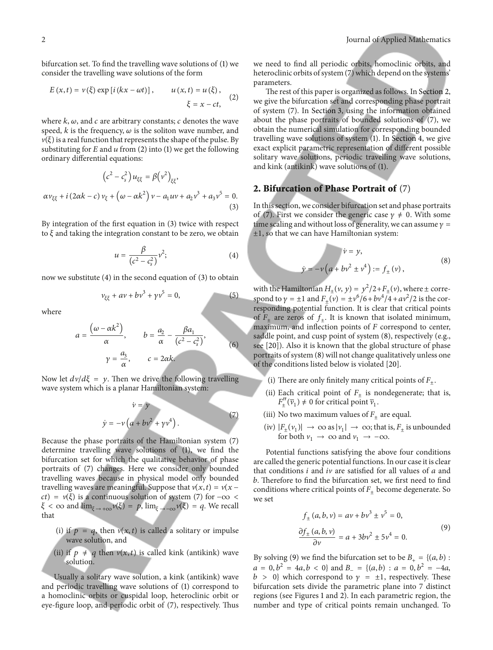bifurcation set. To fnd the travelling wave solutions of (1) we consider the travelling wave solutions of the form

$$
E(x,t) = v(\xi) \exp[i(kx - \omega t)], \qquad u(x,t) = u(\xi),
$$
  

$$
\xi = x - ct,
$$
 (2)

where  $k$ ,  $\omega$ , and  $c$  are arbitrary constants;  $c$  denotes the wave speed,  $k$  is the frequency,  $\omega$  is the soliton wave number, and  $v(\xi)$  is a real function that represents the shape of the pulse. By substituting for  $E$  and  $u$  from (2) into (1) we get the following ordinary diferential equations:

$$
(c^{2} - c_{s}^{2}) u_{\xi\xi} = \beta(v^{2})_{\xi\xi},
$$
  

$$
\alpha v_{\xi\xi} + i (2\alpha k - c) v_{\xi} + (\omega - \alpha k^{2}) v - a_{1} u v + a_{2} v^{3} + a_{3} v^{5} = 0.
$$
  
(3)

By integration of the frst equation in (3) twice with respect to  $\xi$  and taking the integration constant to be zero, we obtain

$$
u = \frac{\beta}{\left(c^2 - c_s^2\right)} \nu^2; \tag{4}
$$

now we substitute (4) in the second equation of (3) to obtain

$$
v_{\xi\xi} + av + bv^3 + \gamma v^5 = 0, \tag{5}
$$

where

$$
a = \frac{(\omega - \alpha k^2)}{\alpha}, \qquad b = \frac{a_2}{\alpha} - \frac{\beta a_1}{(c^2 - c_s^2)},
$$
  

$$
\gamma = \frac{a_3}{\alpha}, \qquad c = 2\alpha k.
$$
 (6)

Now let  $dv/d\xi = y$ . Then we drive the following travelling wave system which is a planar Hamiltonian system:

$$
\dot{v} = y
$$
  
\n
$$
\dot{y} = -v \left( a + b v^2 + \gamma v^4 \right).
$$
\n(7)

Because the phase portraits of the Hamiltonian system (7) determine travelling wave solutions of (1), we fnd the bifurcation set for which the qualitative behavior of phase portraits of (7) changes. Here we consider only bounded travelling waves because in physical model only bounded travelling waves are meaningful. Suppose that  $v(x, t) = v(x - t)$  $ct$ ) =  $v(\xi)$  is a continuous solution of system (7) for  $-\infty$  <  $\xi < \infty$  and  $\lim_{\xi \to +\infty} \nu(\xi) = p$ ,  $\lim_{\xi \to -\infty} \nu(\xi) = q$ . We recall that

- (i) if  $p = q$ , then  $v(x, t)$  is called a solitary or impulse wave solution, and
- (ii) if  $p \neq q$  then  $v(x, t)$  is called kink (antikink) wave solution.

Usually a solitary wave solution, a kink (antikink) wave and periodic travelling wave solutions of (1) correspond to a homoclinic orbits or cuspidal loop, heteroclinic orbit or eye-fgure loop, and periodic orbit of (7), respectively. Tus we need to fnd all periodic orbits, homoclinic orbits, and heteroclinic orbits of system (7) which depend on the systems' parameters.

The rest of this paper is organized as follows. In Section 2, we give the bifurcation set and corresponding phase portrait of system (7). In Section 3, using the information obtained about the phase portraits of bounded solutions of (7), we obtain the numerical simulation for corresponding bounded travelling wave solutions of system (1). In Section 4, we give exact explicit parametric representation of diferent possible solitary wave solutions, periodic travelling wave solutions, and kink (antikink) wave solutions of (1).

### **2. Bifurcation of Phase Portrait of** (7)

In this section, we consider bifurcation set and phase portraits of (7). First we consider the generic case  $\gamma \neq 0$ . With some time scaling and without loss of generality, we can assume  $\gamma =$  $\pm 1$ , so that we can have Hamiltonian system:

$$
\dot{v} = y,
$$
  
\n
$$
\dot{y} = -v \left( a + b v^2 \pm v^4 \right) := f_{\pm}(v),
$$
\n(8)

with the Hamiltonian  $H_{\pm}(v, y) = y^2/2 + F_{\pm}(v)$ , where  $\pm$  correspond to  $\gamma = \pm 1$  and  $F_{\pm}(\nu) = \pm \nu^6 / 6 + b \nu^4 / 4 + a \nu^2 / 2$  is the corresponding potential function. It is clear that critical points of  $F_+$  are zeros of  $f_+$ . It is known that isolated minimum, maximum, and inflection points of  $F$  correspond to center, saddle point, and cusp point of system (8), respectively (e.g., see [20]). Also it is known that the global structure of phase portraits of system (8) will not change qualitatively unless one of the conditions listed below is violated [20].

- (i) There are only finitely many critical points of  $F_{\pm}$ .
- (ii) Each critical point of  $F_+$  is nondegenerate; that is,  $F''_{\pm}(\overline{v}_1) \neq 0$  for critical point  $\overline{v}_1$ .
- (iii) No two maximum values of  $F_{\pm}$  are equal.
- (iv)  $|F_{\pm}(v_1)| \to \infty$  as  $|v_1| \to \infty$ ; that is,  $F_{\pm}$  is unbounded for both  $v_1 \rightarrow \infty$  and  $v_1 \rightarrow -\infty$ .

Potential functions satisfying the above four conditions are called the generic potential functions. In our case it is clear that conditions  $i$  and  $iv$  are satisfied for all values of  $a$  and b. Therefore to find the bifurcation set, we first need to find conditions where critical points of  $F_{\pm}$  become degenerate. So we set

$$
f_{\pm}(a, b, v) = av + bv^3 \pm v^5 = 0,
$$
  

$$
\frac{\partial f_{\pm}(a, b, v)}{\partial v} = a + 3bv^2 \pm 5v^4 = 0.
$$
 (9)

By solving (9) we find the bifurcation set to be  $B_+ = \{(a, b) :$  $a = 0, b<sup>2</sup> = 4a, b < 0$ } and  $B<sub>-</sub> = \{(a, b) : a = 0, b<sup>2</sup> = -4a,$  $b > 0$ } which correspond to  $\gamma = \pm 1$ , respectively. These bifurcation sets divide the parametric plane into 7 distinct regions (see Figures 1 and 2). In each parametric region, the number and type of critical points remain unchanged. To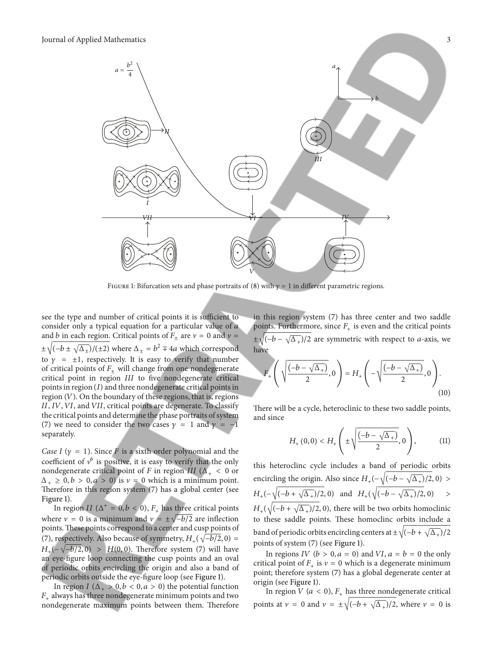

FIGURE 1: Bifurcation sets and phase portraits of (8) with  $\gamma = 1$  in different parametric regions.

see the type and number of critical points it is sufficient to consider only a typical equation for a particular value of a and *b* in each region. Critical points of  $F_{\pm}$  are  $v = 0$  and  $v =$  $\pm\sqrt{(-b\pm\sqrt{\Delta_{\pm}})/(2\pm 2)}$  where  $\Delta_{\pm}=b^2\mp 4a$  which correspond to  $\gamma = \pm 1$ , respectively. It is easy to verify that number of critical points of  $F_+$  will change from one nondegenerate critical point in region III to five nondegenerate critical points in region  $(I)$  and three nondegenerate critical points in region  $(V)$ . On the boundary of these regions, that is, regions II, IV, VI, and VII, critical points are degenerate. To classify the critical points and determine the phase portraits of system (7) we need to consider the two cases  $\gamma = 1$  and  $\gamma = -1$ separately.

*Case I* ( $\gamma = 1$ ). Since *F* is a sixth order polynomial and the coefficient of  $v^6$  is positive, it is easy to verify that the only nondegenerate critical point of F in region III ( $\Delta_{+}$  < 0 or  $\Delta_+ \geq 0, b > 0, a > 0$ ) is  $\nu = 0$  which is a minimum point. Therefore in this region system  $(7)$  has a global center (see Figure 1).

In region II ( $\Delta^+ = 0, b < 0$ ),  $F_+$  has three critical points where  $v = 0$  is a minimum and  $v = \pm \sqrt{-b/2}$  are inflection points. These points correspond to a center and cusp points of (7), respectively. Also because of symmetry,  $H_+(\sqrt{-b/2}, 0)$  =  $H_{+}(-\sqrt{-b/2}, 0) > H(0, 0)$ . Therefore system (7) will have an eye-fgure loop connecting the cusp points and an oval of periodic orbits encircling the origin and also a band of periodic orbits outside the eye-fgure loop (see Figure 1).

In region  $I(\Delta_+ > 0, b < 0, a > 0)$  the potential function  $F_{+}$  always has three nondegenerate minimum points and two nondegenerate maximum points between them. Therefore in this region system (7) has three center and two saddle points. Furthermore, since  $F_{+}$  is even and the critical points  $\pm\sqrt{(-b-\sqrt{\Delta_{+}})/2}$  are symmetric with respect to *a*-axis, we have

$$
F_{+}\left(\sqrt{\frac{(-b-\sqrt{\Delta_{+}})}{2}},0\right) = H_{+}\left(-\sqrt{\frac{(-b-\sqrt{\Delta_{+}})}{2}},0\right).
$$
\n(10)

There will be a cycle, heteroclinic to these two saddle points, and since

$$
H_{+}(0,0) < H_{+}\left(\pm\sqrt{\frac{(-b-\sqrt{\Delta_{+}})}{2}},0\right),
$$
 (11)

this heteroclinc cycle includes a band of periodic orbits encircling the origin. Also since  $H_+(-\sqrt{(-b-\sqrt{\Delta_+})}/2, 0)$  >  $H_{+}(-\sqrt{(-b+\sqrt{\Delta_{+}})/2}, 0)$  and  $H_{+}(\sqrt{(-b-\sqrt{\Delta_{+}})/2}, 0)$  >  $H_+(\sqrt{(-b + \sqrt{\Delta_+})/2}, 0)$ , there will be two orbits homoclinic to these saddle points. These homoclinc orbits include a band of periodic orbits encircling centers at  $\pm \sqrt{(-b + \sqrt{\Delta_+})/2}$ points of system (7) (see Figure 1).

In regions IV ( $b > 0$ ,  $a = 0$ ) and VI,  $a = b = 0$  the only critical point of  $F_+$  is  $v = 0$  which is a degenerate minimum point; therefore system (7) has a global degenerate center at origin (see Figure 1).

In region  $V$  ( $a < 0$ ),  $F_+$  has three nondegenerate critical points at  $v = 0$  and  $v = \pm \sqrt{(-b + \sqrt{\Delta_+})/2}$ , where  $v = 0$  is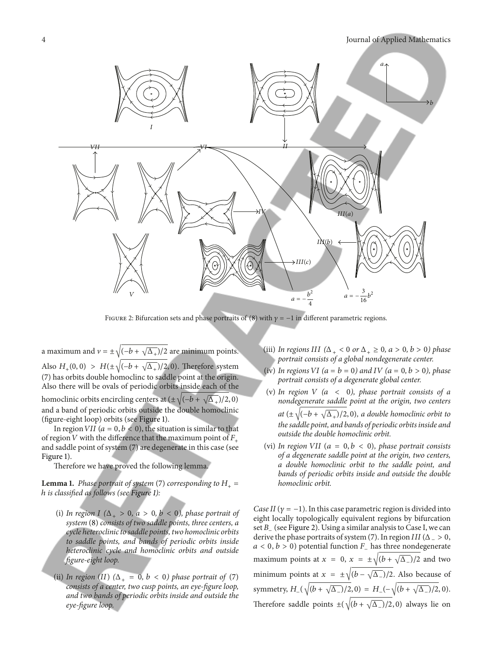

FIGURE 2: Bifurcation sets and phase portraits of (8) with  $\gamma = -1$  in different parametric regions.

a maximum and  $v = \pm \sqrt{(-b + \sqrt{\Delta_+})/2}$  are minimum points. Also  $H_+(0, 0) > H(\pm \sqrt{(-b + \sqrt{\Delta_+})}/2, 0)$ . Therefore system (7) has orbits double homoclinc to saddle point at the origin. Also there will be ovals of periodic orbits inside each of the homoclinic orbits encircling centers at  $(\pm \sqrt{(-b + \sqrt{\Delta_+})}/2, 0)$ and a band of periodic orbits outside the double homoclinic (fgure-eight loop) orbits (see Figure 1).

In region VII ( $a=0, b<0$ ), the situation is similar to that of region V with the difference that the maximum point of  $F_+$ and saddle point of system (7) are degenerate in this case (see Figure 1).

Therefore we have proved the following lemma.

**Lemma 1.** *Phase portrait of system* (7) *corresponding to*  $H_+$  = ℎ *is classifed as follows (see Figure 1):*

- (i) *In region*  $I(\Delta_+ > 0, a > 0, b < 0)$ , *phase portrait of system* (8) *consists of two saddle points, three centers, a cycle heteroclinic to saddle points, two homoclinic orbits to saddle points, and bands of periodic orbits inside heteroclinic cycle and homoclinic orbits and outside fgure-eight loop.*
- (ii) *In region* (*II*)  $(\Delta_+ = 0, b < 0)$  *phase portrait of* (7) *consists of a center, two cusp points, an eye-fgure loop, and two bands of periodic orbits inside and outside the eye-fgure loop.*
- (iii) *In regions III* ( $\Delta_+ < 0$  *or*  $\Delta_+ \geq 0$ ,  $a > 0$ ,  $b > 0$ ) *phase portrait consists of a global nondegenerate center.*
- (iv) In regions VI ( $a = b = 0$ ) and IV ( $a = 0, b > 0$ ), phase *portrait consists of a degenerate global center.*
- (v) In region  $V$  ( $a < 0$ ), phase portrait consists of a *nondegenerate saddle point at the origin, two centers at*  $(\pm \sqrt{(-b + \sqrt{\Delta_+})/2}, 0)$ *, a double homoclinic orbit to the saddle point, and bands of periodic orbits inside and outside the double homoclinic orbit.*
- (vi) *In region VII* ( $a = 0, b < 0$ ), *phase portrait consists of a degenerate saddle point at the origin, two centers, a double homoclinic orbit to the saddle point, and bands of periodic orbits inside and outside the double homoclinic orbit.*

*Case II* ( $\gamma = -1$ ). In this case parametric region is divided into eight locally topologically equivalent regions by bifurcation set B\_ (see Figure 2). Using a similar analysis to Case I, we can derive the phase portraits of system (7). In region  $III$  ( $\Delta$  = > 0,  $a < 0, b > 0$ ) potential function  $F_{-}$  has three nondegenerate maximum points at  $x = 0$ ,  $x = \pm \sqrt{(b + \sqrt{\Delta_-})/2}$  and two minimum points at  $x = \pm \sqrt{(b - \sqrt{\Delta_-})/2}$ . Also because of symmetry,  $H_{-}(\sqrt{(b + \sqrt{\Delta_{-}})/2}, 0) = H_{-}(-\sqrt{(b + \sqrt{\Delta_{-}})/2}, 0).$ Therefore saddle points  $\pm(\sqrt{(b+\sqrt{\Delta_-})/2},0)$  always lie on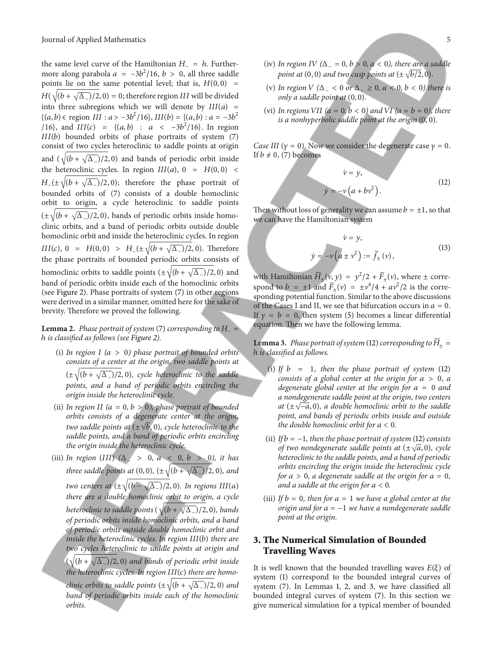the same level curve of the Hamiltonian  $H_ - = h$ . Furthermore along parabola  $a = -3b^2/16$ ,  $b > 0$ , all three saddle points lie on the same potential level; that is,  $H(0, 0)$  =  $H(\sqrt{(b + \sqrt{\Delta_{-}})/2}, 0) = 0$ ; therefore region III will be divided into three subregions which we will denote by  $III(a)$  = {(*a*, *b*) ∈ region *III* : *a* >  $-3b^2/16$ }, *III*(*b*) = {(*a*, *b*) : *a* =  $-3b^2$ /16}, and  $III(c) = \{(a, b) : a < -3b^2/16\}$ . In region  $III(b)$  bounded orbits of phase portraits of system  $(7)$ consist of two cycles heteroclinic to saddle points at origin and  $(\sqrt{(b + \sqrt{\Delta_{-}})/2}, 0)$  and bands of periodic orbit inside the heteroclinic cycles. In region  $III(a)$ , 0 =  $H(0, 0)$  <  $H_{-}(\pm\sqrt{(b+\sqrt{\Delta_{-}})/2},0)$ ; therefore the phase portrait of bounded orbits of (7) consists of a double homoclinic orbit to origin, a cycle heteroclinic to saddle points  $(\pm \sqrt{(b + \sqrt{\Delta_{-}})/2}, 0)$ , bands of periodic orbits inside homoclinic orbits, and a band of periodic orbits outside double homoclinic orbit and inside the heteroclinic cycles. In region  $III(c), 0 = H(0, 0) > H_{-}(\pm \sqrt{(b + \sqrt{\Delta_{-}})/2}, 0)$ . Therefore the phase portraits of bounded periodic orbits consists of homoclinic orbits to saddle points  $(\pm \sqrt{(b + \sqrt{\Delta_{-}})/2}, 0)$  and band of periodic orbits inside each of the homoclinic orbits (see Figure 2). Phase portraits of system (7) in other regions were derived in a similar manner, omitted here for the sake of brevity. Therefore we proved the following.

**Lemma 2.** *Phase portrait of system* (7) *corresponding to*  $H_$  = ℎ *is classifed as follows (see Figure 2).*

- (i) In region  $I(a > 0)$  phase portrait of bounded orbits *consists of a center at the origin, two saddle points at*  $(\pm\sqrt{(b+\sqrt{\Delta_-})/2},0)$ *, cycle heteroclinic to the saddle points, and a band of periodic orbits encircling the origin inside the heteroclinic cycle.*
- (ii) *In region II* ( $a = 0, b > 0$ ), *phase portrait of bounded orbits consists of a degenerate center at the origin, two saddle points at*  $(\pm \sqrt{b}, 0)$ *, cycle heteroclinic to the saddle points, and a band of periodic orbits encircling the origin inside the heteroclinic cycle.*
- (iii) *In region* () *(*Δ<sup>−</sup> > 0*,* <0*,* >0*), it has three saddle points at* (0, 0),  $(\pm \sqrt{(b + \sqrt{\Delta_{-}})/2}, 0)$ *, and two centers at*  $(\pm \sqrt{(b - \sqrt{\Delta_{-}})/2}, 0)$ *. In regions III(a) there are a double homoclinic orbit to origin, a cycle heteroclinic to saddle points* ( $\sqrt{(b + \sqrt{\Delta_{-}})/2}$ , 0)*, bands of periodic orbits inside homoclinic orbits, and a band of periodic orbits outside double homoclinic orbit and inside the heteroclinic cycles. In region III(b) there are two cycles heteroclinic to saddle points at origin and*  $(\sqrt{(b + \sqrt{\Delta_{-}})/2}, 0)$  *and bands of periodic orbit inside the heteroclinic cycles. In region III(c) there are homoclinic orbits to saddle points* ( $\pm \sqrt{(b + \sqrt{\Delta_{-}})/2}$ , 0) *and band of periodic orbits inside each of the homoclinic orbits.*
- (iv) *In region IV* ( $\Delta = 0$ ,  $b > 0$ ,  $a < 0$ ), there are a saddle *point at*  $(0, 0)$  *and two cusp points at*  $(\pm \sqrt{b/2}, 0)$ *.*
- (v) *In region (*Δ<sup>−</sup> < 0 *or* Δ<sup>−</sup> ≥ 0*,* <0*,* <0*) there is only a saddle point at* (0, 0)*.*
- (vi) In regions VII ( $a = 0, b < 0$ ) and VI ( $a = b = 0$ ), there *is a nonhyperbolic saddle point at the origin* (0, 0)*.*

*Case III* ( $\gamma = 0$ ). Now we consider the degenerate case  $\gamma = 0$ . If  $b \neq 0$ , (7) becomes

$$
\dot{v} = y,
$$
  
\n
$$
\dot{y} = -v \left( a + b v^2 \right).
$$
\n(12)

Then without loss of generality we can assume  $b = \pm 1$ , so that we can have the Hamiltonian system

$$
\dot{\nu} = y,
$$
  
\n
$$
\dot{y} = -\nu \left( a \pm \nu^2 \right) := \tilde{f}_{\pm} (\nu),
$$
\n(13)

with Hamiltonian  $\widetilde{H}_{\pm}(v, y) = y^2/2 + \widetilde{F}_{\pm}(v)$ , where  $\pm$  correspond to  $b = \pm 1$  and  $\tilde{F}_{\pm}(v) = \pm v^4/4 + av^2/2$  is the corresponding potential function. Similar to the above discussions of the Cases I and II, we see that bifurcation occurs in  $a = 0$ . If  $\gamma = b = 0$ , then system (5) becomes a linear differential equation. Then we have the following lemma.

**Lemma 3.** *Phase portrait of system* (12) *corresponding to*  $\overline{H}_+$  = ℎ *is classifed as follows.*

- (i) If  $b = 1$ *, then the phase portrait of system* (12) *consists of a global center at the origin for a > 0, a degenerate global center at the origin for*  $a = 0$  *and a nondegenerate saddle point at the origin, two centers at* ( $\pm \sqrt{-a}$ , 0)*, a double homoclinic orbit to the saddle point, and bands of periodic orbits inside and outside the double homoclinic orbit for*  $a < 0$ *.*
- (ii) *If* = −1*, then the phase portrait of system* (12)*consists of two nondegenerate saddle points at*  $(\pm \sqrt{a}, 0)$ *, cycle heteroclinic to the saddle points, and a band of periodic orbits encircling the origin inside the heteroclinic cycle for*  $a > 0$ *, a degenerate saddle at the origin for*  $a = 0$ *, and a saddle at the origin for* <0*.*
- (iii) *If*  $b = 0$ *, then for*  $a = 1$  *we have a global center at the origin and for* = −1 *we have a nondegenerate saddle point at the origin.*

#### **3. The Numerical Simulation of Bounded Travelling Waves**

It is well known that the bounded travelling waves  $E(\xi)$  of system (1) correspond to the bounded integral curves of system (7). In Lemmas 1, 2, and 3, we have classifed all bounded integral curves of system (7). In this section we give numerical simulation for a typical member of bounded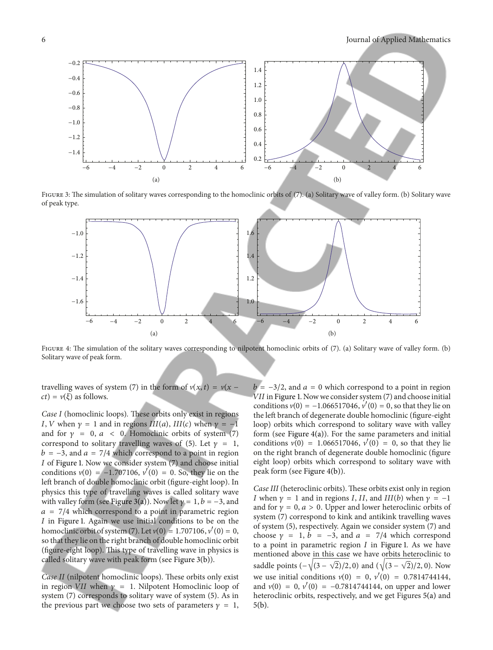

FIGURE 3: The simulation of solitary waves corresponding to the homoclinic orbits of (7). (a) Solitary wave of valley form. (b) Solitary wave of peak type.



FIGURE 4: The simulation of the solitary waves corresponding to nilpotent homoclinic orbits of (7). (a) Solitary wave of valley form. (b) Solitary wave of peak form.

travelling waves of system (7) in the form of  $v(x, t) = v(x - t)$  $ct$ ) =  $v(\xi)$  as follows.

*Case I* (homoclinic loops). These orbits only exist in regions I, V when  $\gamma = 1$  and in regions  $III(a)$ ,  $III(c)$  when  $\gamma = -1$ and for  $\gamma = 0$ ,  $a < 0$ . Homoclinic orbits of system (7) correspond to solitary travelling waves of (5). Let  $\gamma = 1$ ,  $b = -3$ , and  $a = 7/4$  which correspond to a point in region I of Figure 1. Now we consider system (7) and choose initial conditions  $v(0) = -1.707106$ ,  $v'(0) = 0$ . So, they lie on the left branch of double homoclinic orbit (figure-eight loop). In physics this type of travelling waves is called solitary wave with valley form (see Figure 3(a)). Now let  $\gamma = 1, b = -3$ , and  $a = 7/4$  which correspond to a point in parametric region  $I$  in Figure 1. Again we use initial conditions to be on the homoclinic orbit of system (7). Let  $v(0) = 1.707106, v'(0) = 0$ , so that they lie on the right branch of double homoclinic orbit (figure-eight loop). This type of travelling wave in physics is called solitary wave with peak form (see Figure 3(b)).

*Case II* (nilpotent homoclinic loops). These orbits only exist in region VII when  $\gamma = 1$ . Nilpotent Homoclinic loop of system (7) corresponds to solitary wave of system (5). As in the previous part we choose two sets of parameters  $\gamma = 1$ ,

 $b = -3/2$ , and  $a = 0$  which correspond to a point in region VII in Figure 1. Now we consider system (7) and choose initial conditions  $v(0) = -1.066517046$ ,  $v'(0) = 0$ , so that they lie on the left branch of degenerate double homoclinic (figure-eight loop) orbits which correspond to solitary wave with valley form (see Figure  $4(a)$ ). For the same parameters and initial conditions  $v(0) = 1.066517046$ ,  $v'(0) = 0$ , so that they lie on the right branch of degenerate double homoclinic (fgure eight loop) orbits which correspond to solitary wave with peak form (see Figure 4(b)).

*Case III* (heteroclinic orbits). These orbits exist only in region I when  $\nu = 1$  and in regions I, II, and III(b) when  $\nu = -1$ and for  $\gamma = 0$ ,  $a > 0$ . Upper and lower heteroclinic orbits of system (7) correspond to kink and antikink travelling waves of system (5), respectively. Again we consider system (7) and choose  $\gamma = 1$ ,  $b = -3$ , and  $a = 7/4$  which correspond to a point in parametric region  $I$  in Figure 1. As we have mentioned above in this case we have orbits heteroclinic to saddle points  $(-\sqrt{(3 - \sqrt{2})}/2, 0)$  and  $(\sqrt{(3 - \sqrt{2})}/2, 0)$ . Now we use initial conditions  $v(0) = 0$ ,  $v'(0) = 0.7814744144$ , and  $v(0) = 0$ ,  $v'(0) = -0.7814744144$ , on upper and lower heteroclinic orbits, respectively, and we get Figures 5(a) and 5(b).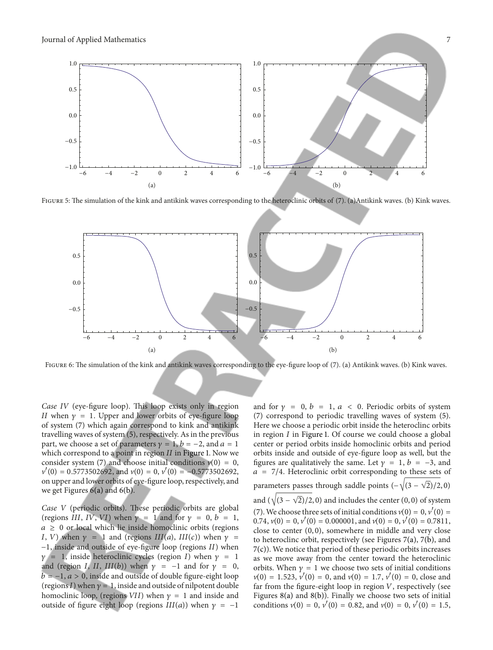

FIGURE 5: The simulation of the kink and antikink waves corresponding to the heteroclinic orbits of (7). (a)Antikink waves. (b) Kink waves.



FIGURE 6: The simulation of the kink and antikink waves corresponding to the eye-figure loop of (7). (a) Antikink waves. (b) Kink waves.

*Case IV* (eye-figure loop). This loop exists only in region *II* when  $\gamma = 1$ . Upper and lower orbits of eye-figure loop of system (7) which again correspond to kink and antikink travelling waves of system (5), respectively. As in the previous part, we choose a set of parameters  $y = 1$ ,  $b = -2$ , and  $a = 1$ which correspond to a point in region  $II$  in Figure 1. Now we consider system (7) and choose initial conditions  $v(0) = 0$ ,  $v'(0) = 0.5773502692$ , and  $v(0) = 0$ ,  $v'(0) = -0.5773502692$ , on upper and lower orbits of eye-fgure loop, respectively, and we get Figures  $6(a)$  and  $6(b)$ .

*Case V* (periodic orbits). These periodic orbits are global (regions III, IV, VI) when  $\gamma = 1$  and for  $\gamma = 0, b = 1$ ,  $a \geq 0$  or local which lie inside homoclinic orbits (regions I, V) when  $\gamma = 1$  and (regions III(a), III(c)) when  $\gamma =$ −1, inside and outside of eye-figure loop (regions *II*) when  $\gamma = 1$ , inside heteroclinic cycles (region I) when  $\gamma = 1$ and (region I, II, III(b)) when  $\gamma = -1$  and for  $\gamma = 0$ ,  $b = -1$ ,  $a > 0$ , inside and outside of double figure-eight loop (regions I) when  $\gamma = 1$ , inside and outside of nilpotent double homoclinic loop, (regions VII) when  $y = 1$  and inside and outside of figure eight loop (regions  $III(a)$ ) when  $\gamma = -1$ 

and for  $\gamma = 0$ ,  $b = 1$ ,  $a < 0$ . Periodic orbits of system (7) correspond to periodic travelling waves of system (5). Here we choose a periodic orbit inside the heteroclinc orbits in region  $I$  in Figure 1. Of course we could choose a global center or period orbits inside homoclinic orbits and period orbits inside and outside of eye-fgure loop as well, but the figures are qualitatively the same. Let  $\gamma = 1$ ,  $b = -3$ , and  $a = 7/4$ . Heteroclinic orbit corresponding to these sets of parameters passes through saddle points  $\left(-\sqrt{(3-\sqrt{2})}/2,0\right)$ and ( $\sqrt{(3-\sqrt{2})}/2, 0$ ) and includes the center (0, 0) of system (7). We choose three sets of initial conditions  $v(0) = 0, v'(0) = 0$ 0.74,  $v(0) = 0$ ,  $v'(0) = 0.000001$ , and  $v(0) = 0$ ,  $v'(0) = 0.7811$ , close to center (0, 0), somewhere in middle and very close to heteroclinc orbit, respectively (see Figures 7(a), 7(b), and 7(c)). We notice that period of these periodic orbits increases as we move away from the center toward the heteroclinic orbits. When  $\gamma = 1$  we choose two sets of initial conditions  $v(0) = 1.523, v'(0) = 0$ , and  $v(0) = 1.7, v'(0) = 0$ , close and far from the figure-eight loop in region  $V$ , respectively (see Figures 8(a) and 8(b)). Finally we choose two sets of initial conditions  $v(0) = 0$ ,  $v'(0) = 0.82$ , and  $v(0) = 0$ ,  $v'(0) = 1.5$ ,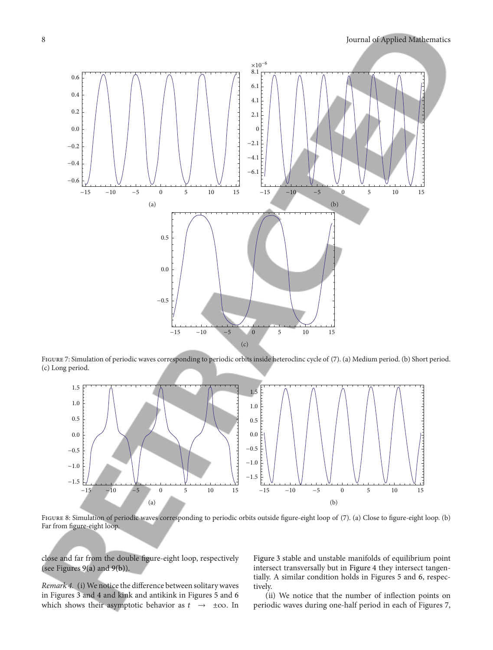

Figure 7: Simulation of periodic waves corresponding to periodic orbits inside heteroclinc cycle of (7). (a) Medium period. (b) Short period. (c) Long period.



Figure 8: Simulation of periodic waves corresponding to periodic orbits outside fgure-eight loop of (7). (a) Close to fgure-eight loop. (b) Far from fgure-eight loop.

close and far from the double fgure-eight loop, respectively (see Figures 9(a) and 9(b)).

*Remark 4.* (i) We notice the difference between solitary waves in Figures 3 and 4 and kink and antikink in Figures 5 and 6 which shows their asymptotic behavior as  $t \rightarrow \pm \infty$ . In

Figure 3 stable and unstable manifolds of equilibrium point intersect transversally but in Figure 4 they intersect tangentially. A similar condition holds in Figures 5 and 6, respectively.

(ii) We notice that the number of infection points on periodic waves during one-half period in each of Figures 7,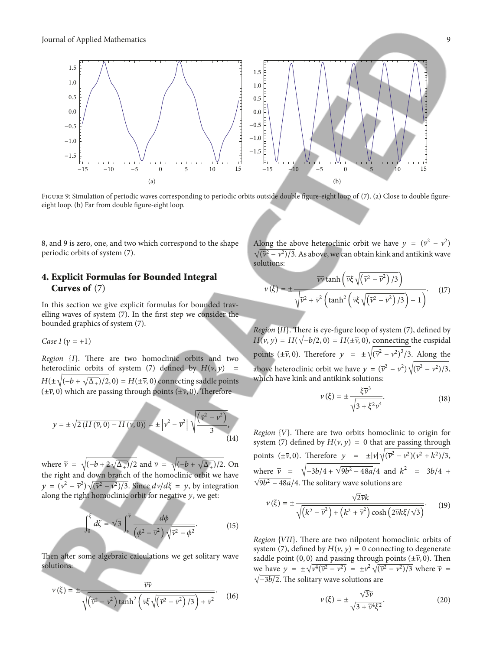

FIGURE 9: Simulation of periodic waves corresponding to periodic orbits outside double figure-eight loop of (7). (a) Close to double figureeight loop. (b) Far from double fgure-eight loop.

8, and 9 is zero, one, and two which correspond to the shape periodic orbits of system (7).

#### **4. Explicit Formulas for Bounded Integral Curves of** (7)

In this section we give explicit formulas for bounded travelling waves of system (7). In the frst step we consider the bounded graphics of system (7).

*Case 1* ( $\gamma = +1$ )

*Region* {*I*}. There are two homoclinic orbits and two heteroclinic orbits of system (7) defined by  $H(v, y)$  $H(\pm\sqrt{(-b+\sqrt{\Delta_+})}/2,0) = H(\pm\bar{\nu},0)$  connecting saddle points  $(\pm \overline{\nu}, 0)$  which are passing through points  $(\pm \widetilde{\nu}, 0)$ . Therefore

$$
y = \pm \sqrt{2\left(H\left(\overline{v}, 0\right) - H\left(v, 0\right)\right)} = \pm \left|v^2 - \overline{v}^2\right| \sqrt{\frac{\left(\overline{v}^2 - v^2\right)}{3}},\tag{14}
$$

where  $\tilde{v} = \sqrt{(-b + 2\sqrt{\Delta_+})/2}$  and  $\overline{v} = \sqrt{(-b + \sqrt{\Delta_+})/2}$ . On the right and down branch of the homoclinic orbit we have  $y = (v^2 - \overline{v}^2) \sqrt{(\overline{v}^2 - v^2)/3}$ . Since  $dv/d\xi = y$ , by integration along the right homoclinic orbit for negative  $y$ , we get:

$$
\int_0^{\xi} d\zeta = \sqrt{3} \int_v^{\tilde{v}} \frac{d\phi}{\left(\phi^2 - \overline{v}^2\right) \sqrt{\overline{v}^2 - \phi^2}}.
$$
 (15)

Then after some algebraic calculations we get solitary wave solutions:

$$
v(\xi) = \pm \frac{\overline{v}\overline{v}}{\sqrt{(\overline{v}^2 - \overline{v}^2) \tanh^2\left(\overline{v}\xi \sqrt{(\overline{v}^2 - \overline{v}^2)/3}\right) + \overline{v}^2}}.
$$
 (16)

Along the above heteroclinic orbit we have  $y = (\overline{v}^2 - v^2)$  $\sqrt{(\tilde{v}^2 - v^2)/3}$ . As above, we can obtain kink and antikink wave solutions:

$$
v(\xi) = \pm \frac{\overline{v}\overline{v} \tanh\left(\overline{v}\xi\sqrt{(\overline{v}^2 - \overline{v}^2)/3}\right)}{\sqrt{\overline{v}^2 + \overline{v}^2} \left(\tanh^2\left(\overline{v}\xi\sqrt{(\overline{v}^2 - \overline{v}^2)/3}\right) - 1\right)}.
$$
 (17)

*Region*  ${II}$ . There is eye-figure loop of system (7), defined by  $H(v, y) = H(\sqrt{-b/2}, 0) = H(\pm \overline{v}, 0)$ , connecting the cuspidal points ( $\pm \overline{v}$ , 0). Therefore  $y = \pm \sqrt{(\overline{v}^2 - v^2)^3}/3$ . Along the above heteroclinic orbit we have  $y = (\bar{v}^2 - v^2)\sqrt{(\bar{v}^2 - v^2)/3}$ , which have kink and antikink solutions:

$$
\nu(\xi) = \pm \frac{\xi \bar{\nu}^3}{\sqrt{3 + \xi^2 \bar{\nu}^4}}.
$$
\n(18)

*Region*  ${V}$ . There are two orbits homoclinic to origin for system (7) defined by  $H(v, y) = 0$  that are passing through points  $(\pm \overline{\nu}, 0)$ . Therefore  $y = \pm |\nu| \sqrt{(\overline{\nu}^2 - \nu^2)(\nu^2 + k^2)/3}$ , where  $\bar{v} = \sqrt{-3b/4 + \sqrt{9b^2 - 48a}/4}$  and  $k^2 = 3b/4 +$  $\sqrt{9b^2-48a}/4$ . The solitary wave solutions are

$$
v(\xi) = \pm \frac{\sqrt{2v}k}{\sqrt{\left(k^2 - \overline{v}^2\right) + \left(k^2 + \overline{v}^2\right)\cosh\left(2\overline{v}k\xi/\sqrt{3}\right)}}.
$$
 (19)

*Region* {*VII*}. There are two nilpotent homoclinic orbits of system (7), defined by  $H(v, y) = 0$  connecting to degenerate saddle point (0, 0) and passing through points ( $\pm \tilde{\nu}$ , 0). Then we have  $y = \pm \sqrt{v^4(\tilde{v}^2 - v^2)} = \pm v^2 \sqrt{(\tilde{v}^2 - v^2)/3}$  where  $\tilde{v} =$  $\sqrt{-3b/2}$ . The solitary wave solutions are

$$
\nu(\xi) = \pm \frac{\sqrt{3\tilde{\nu}}}{\sqrt{3 + \tilde{\nu}^4 \xi^2}}.
$$
\n(20)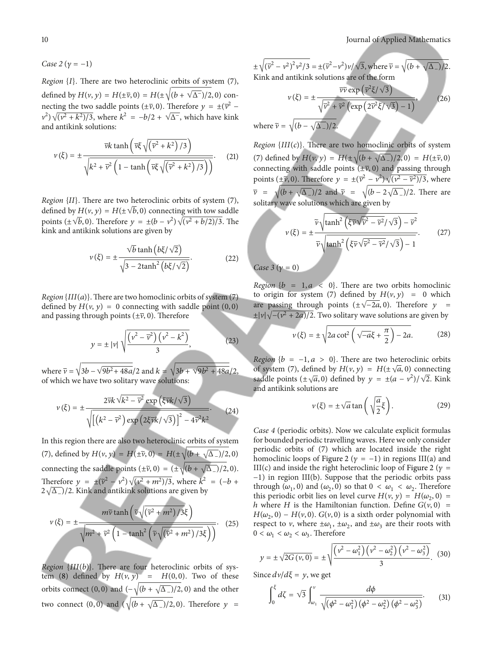*Case 2* ( $\gamma = -1$ )

*Region*  ${I}$ . There are two heteroclinic orbits of system (7), defined by  $H(v, y) = H(\pm \overline{v}, 0) = H(\pm \sqrt{(b + \sqrt{\Delta^{-}})/2}, 0)$  connecting the two saddle points ( $\pm \overline{\nu}$ , 0). Therefore  $y = \pm (\overline{\nu}^2 (v^2)\sqrt{(v^2+k^2)/3}$ , where  $k^2 = -b/2 + \sqrt{\Delta^2}$ , which have kink and antikink solutions:

$$
v(\xi) = \pm \frac{\overline{vk} \tanh\left(\overline{v}\xi\sqrt{(\overline{v}^2 + k^2)/3}\right)}{\sqrt{k^2 + \overline{v}^2 \left(1 - \tanh\left(\overline{v}\xi\sqrt{(\overline{v}^2 + k^2)/3}\right)\right)}}.
$$
 (21)

*Region* {*II*}. There are two heteroclinic orbits of system (7), defined by  $H(v, y) = H(\pm \sqrt{b}, 0)$  connecting with tow saddle points ( $\pm \sqrt{b}$ , 0). Therefore  $y = \pm (b - v^2) \sqrt{(v^2 + b/2)/3}$ . The kink and antikink solutions are given by

$$
v(\xi) = \pm \frac{\sqrt{b} \tanh(b\xi/\sqrt{2})}{\sqrt{3 - 2 \tanh^2(b\xi/\sqrt{2})}}.
$$
 (22)

*Region* { $III(a)$ }. There are two homoclinic orbits of system (7) defined by  $H(v, y) = 0$  connecting with saddle point  $(0, 0)$ and passing through points ( $\pm \overline{v}$ , 0). Therefore

$$
y = \pm |\nu| \sqrt{\frac{(\nu^2 - \overline{\nu}^2)(\nu^2 - k^2)}{3}},
$$
 (23)

where  $\bar{v} = \sqrt{3b - \sqrt{9b^2 + 48a}}/2$  and  $k = \sqrt{3b + \sqrt{9b^2 + 48a}}/2$ , of which we have two solitary wave solutions:

$$
v(\xi) = \pm \frac{2\bar{v}k\sqrt{k^2 - \bar{v}^2} \exp\left(\xi\bar{v}k/\sqrt{3}\right)}{\sqrt{\left[\left(k^2 - \bar{v}^2\right)\exp\left(2\xi\bar{v}k/\sqrt{3}\right)\right]^2 - 4\bar{v}^2k^2}}.
$$
 (24)

In this region there are also two heteroclinic orbits of system (7), defined by  $H(v, y) = H(\pm \tilde{v}, 0) = H(\pm \sqrt{(b + \sqrt{\Delta_-})/2}, 0)$ connecting the saddle points ( $\pm \tilde{\nu}$ , 0) = ( $\pm \sqrt{(b + \sqrt{\Delta_{-}})/2}$ , 0). Therefore  $y = \pm (\bar{v}^2 - v^2) \sqrt{(v^2 + m^2)/3}$ , where  $k^2 = (-b +$  $2\sqrt{\Delta_{-}}$ )/2. Kink and antikink solutions are given by

$$
v(\xi) = \pm \frac{m\tilde{v}\tanh\left(\tilde{v}\sqrt{(\tilde{v}^2 + m^2)/3\xi}\right)}{\sqrt{m^2 + \tilde{v}^2 \left(1 - \tanh^2\left(\tilde{v}\sqrt{(\tilde{v}^2 + m^2)/3\xi}\right)\right)}}.
$$
 (25)

*Region*  $\{III(b)\}$ . There are four heteroclinic orbits of system (8) defined by  $H(v, y) = H(0, 0)$ . Two of these orbits connect (0, 0) and  $\left(-\sqrt{(b+\sqrt{\Delta_-})/2}, 0\right)$  and the other two connect (0, 0) and ( $\sqrt{(b + \sqrt{\Delta_{-}})/2}$ , 0). Therefore  $y =$ 

$$
\pm \sqrt{(\bar{v}^2 - v^2)^2 v^2 / 3} = \pm (\bar{v}^2 - v^2) v / \sqrt{3}, \text{ where } \bar{v} = \sqrt{(b + \sqrt{\Delta_{-}})/2}.
$$
  
Kink and antikink solutions are of the form  

$$
\overline{v} \overline{v} \exp(\overline{v}^2 \xi / \sqrt{3})
$$

$$
v(\xi) = \pm \frac{\overline{v} \overline{v} \exp(\overline{v}^2 \xi / \sqrt{3})}{\sqrt{\bar{v}^2 + \bar{v}^2 (\exp(2\overline{v}^2 \xi / \sqrt{3}) - 1)}}, \qquad (26)
$$
  
where  $\tilde{v} = \sqrt{(b - \sqrt{\Delta_{-}})/2}.$ 

*Region*  $\{III(c)\}\$ . There are two homoclinic orbits of system (7) defined by  $H(v, y) = H(\pm \sqrt{(b + \sqrt{\Delta_{-}})/2}, 0) = H(\pm \bar{v}, 0)$ connecting with saddle points  $(\pm \overline{v}, 0)$  and passing through points ( $\pm \tilde{v}$ , 0). Therefore  $y = \pm (\bar{v}^2 - v^2) \sqrt{(v^2 - \tilde{v}^2)/3}$ , where  $\overline{v} = \sqrt{(b + \sqrt{\Delta_{-}})/2}$  and  $\overline{v} = \sqrt{(b - 2\sqrt{\Delta_{-}})/2}$ . There are solitary wave solutions which are given by

$$
v(\xi) = \pm \frac{\widetilde{v}\sqrt{\tanh^2\left(\xi\overline{v}\sqrt{\overline{v}^2 - \widetilde{v}^2}/\sqrt{3}\right) - \overline{v}^2}}{\overline{v}\sqrt{\tanh^2\left(\xi\overline{v}\sqrt{\overline{v}^2 - \widetilde{v}^2}/\sqrt{3}\right) - 1}}.
$$
 (27)

*Case*  $3(y = 0)$ 

*Region*  $\{b = 1, a < 0\}$ . There are two orbits homoclinic to origin for system (7) defined by  $H(v, y) = 0$  which are passing through points  $(\pm \sqrt{-2a}, 0)$ . Therefore  $y =$  $\pm |\nu| \sqrt{-(\nu^2 + 2a)/2}$ . Two solitary wave solutions are given by

$$
v(\xi) = \pm \sqrt{2a \cot^2 \left(\sqrt{-a}\xi + \frac{\pi}{2}\right) - 2a}.
$$
 (28)

*Region*  $\{b = -1, a > 0\}$ . There are two heteroclinic orbits of system (7), defined by  $H(v, y) = H(\pm \sqrt{a}, 0)$  connecting saddle points ( $\pm \sqrt{a}$ , 0) defined by  $y = \pm (a - v^2)/\sqrt{2}$ . Kink and antikink solutions are

$$
v(\xi) = \pm \sqrt{a} \tan\left(\sqrt{\frac{a}{2}}\xi\right). \tag{29}
$$

*Case 4* (periodic orbits). Now we calculate explicit formulas for bounded periodic travelling waves. Here we only consider periodic orbits of (7) which are located inside the right homoclinic loops of Figure 2 ( $\gamma = -1$ ) in regions III(a) and III(c) and inside the right heteroclinic loop of Figure 2 ( $\gamma$  = −1) in region III(b). Suppose that the periodic orbits pass through  $(\omega_1, 0)$  and  $(\omega_2, 0)$  so that  $0 < \omega_1 < \omega_2$ . Therefore this periodic orbit lies on level curve  $H(v, y) = H(\omega_2, 0)$  = h where H is the Hamiltonian function. Define  $G(v, 0)$  =  $H(\omega_2, 0) - H(\nu, 0)$ .  $G(\nu, 0)$  is a sixth order polynomial with respect to v, where  $\pm \omega_1$ ,  $\pm \omega_2$ , and  $\pm \omega_3$  are their roots with  $0 < \omega_1 < \omega_2 < \omega_3$ . Therefore

$$
y = \pm \sqrt{2G(v, 0)} = \pm \sqrt{\frac{(v^2 - \omega_1^2)(v^2 - \omega_2^2)(v^2 - \omega_3^2)}{3}}.
$$
 (30)

Since  $dv/d\xi = y$ , we get

$$
\int_0^{\xi} d\zeta = \sqrt{3} \int_{\omega_1}^{\nu} \frac{d\phi}{\sqrt{\left(\phi^2 - \omega_1^2\right) \left(\phi^2 - \omega_2^2\right) \left(\phi^2 - \omega_3^2\right)}}.
$$
 (31)